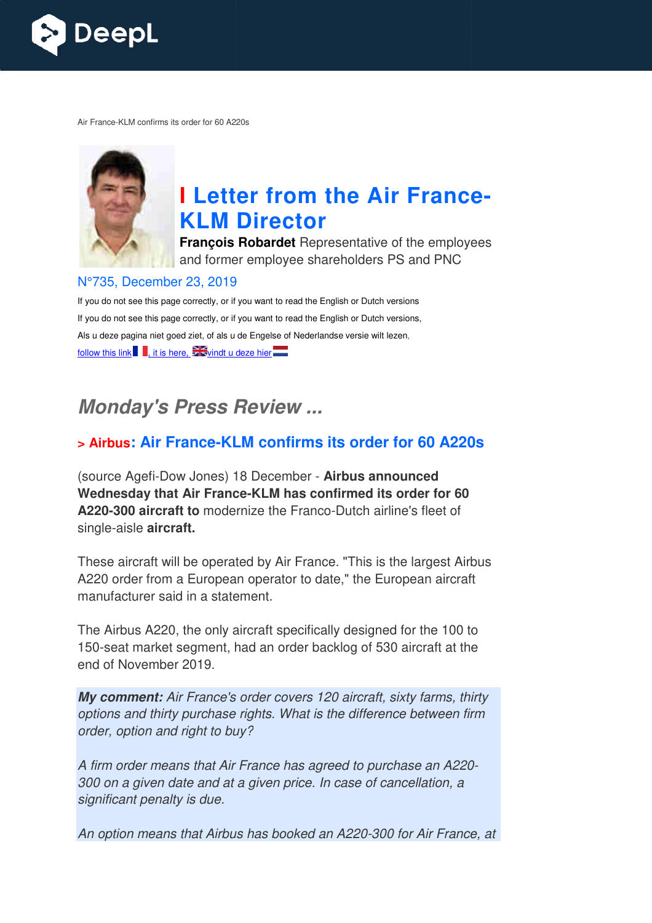

Air France-KLM confirms its order for 60 A220s



# **I** Letter from the Air France-**KLM Director**

**François Robardet** Representative of the employees and former employee shareholders PS and PNC

#### N°735, December 23, 2019

If you do not see this page correctly, or if you want to read the English or Dutch versions If you do not see this page correctly, or if you want to read the English or Dutch versions, Als u deze pagina niet goed ziet, of als u de Engelse of Nederlandse versie wilt lezen, follow this link , it is here,  $\frac{1}{2}$  windt u deze hier

## *Monday's Press Review ...*

#### **x** Airbus: Air France-KLM confirms its order for 60 A220s

(source Agefi-Dow Jones) 18 December - Airbus announced **Wednesday that Air France France-KLM has confirmed its order for 60**  A220-300 aircraft to modernize the Franco-Dutch airline's fleet of single-aisle **aircraft.** 

These aircraft will be operated by Air France. "This is the largest Airbus A220 order from a European operator to date," the European aircraft manufacturer said in a statement.

The Airbus A220, the only aircraft specifically designed for the 100 to 150-seat market segment, had an order backlog of 530 aircraft at the end of November 2019.

*My comment: Air France's order covers 120 aircraft, sixty farms, thirty options and thirty purchase rights. What is the difference between firm order, option and right to buy?*

*A firm order means that Air France has agreed to purchase an A220 A220- 300 on a given date and at a given price. In case of cancellation, a significant penalty is due.* 

An option means that Airbus has booked an A220-300 for Air France, at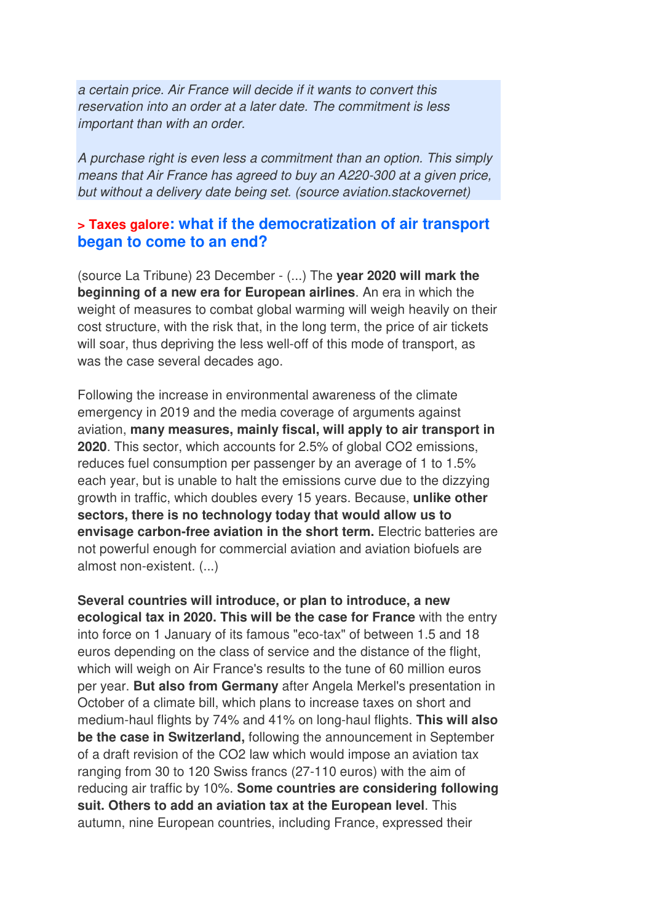*a certain price. Air France will decide if it wants to convert this reservation into an order at a later date. The commitment is less important than with an order.* 

*A purchase right is even less a commitment than an option. This simply means that Air France has agreed to buy an A220-300 at a given price, but without a delivery date being set. (source aviation.stackovernet)*

#### **> Taxes galore: what if the democratization of air transport began to come to an end?**

(source La Tribune) 23 December - (...) The **year 2020 will mark the beginning of a new era for European airlines**. An era in which the weight of measures to combat global warming will weigh heavily on their cost structure, with the risk that, in the long term, the price of air tickets will soar, thus depriving the less well-off of this mode of transport, as was the case several decades ago.

Following the increase in environmental awareness of the climate emergency in 2019 and the media coverage of arguments against aviation, **many measures, mainly fiscal, will apply to air transport in 2020**. This sector, which accounts for 2.5% of global CO2 emissions, reduces fuel consumption per passenger by an average of 1 to 1.5% each year, but is unable to halt the emissions curve due to the dizzying growth in traffic, which doubles every 15 years. Because, **unlike other sectors, there is no technology today that would allow us to envisage carbon-free aviation in the short term.** Electric batteries are not powerful enough for commercial aviation and aviation biofuels are almost non-existent. (...)

**Several countries will introduce, or plan to introduce, a new ecological tax in 2020. This will be the case for France** with the entry into force on 1 January of its famous "eco-tax" of between 1.5 and 18 euros depending on the class of service and the distance of the flight, which will weigh on Air France's results to the tune of 60 million euros per year. **But also from Germany** after Angela Merkel's presentation in October of a climate bill, which plans to increase taxes on short and medium-haul flights by 74% and 41% on long-haul flights. **This will also be the case in Switzerland,** following the announcement in September of a draft revision of the CO2 law which would impose an aviation tax ranging from 30 to 120 Swiss francs (27-110 euros) with the aim of reducing air traffic by 10%. **Some countries are considering following suit. Others to add an aviation tax at the European level**. This autumn, nine European countries, including France, expressed their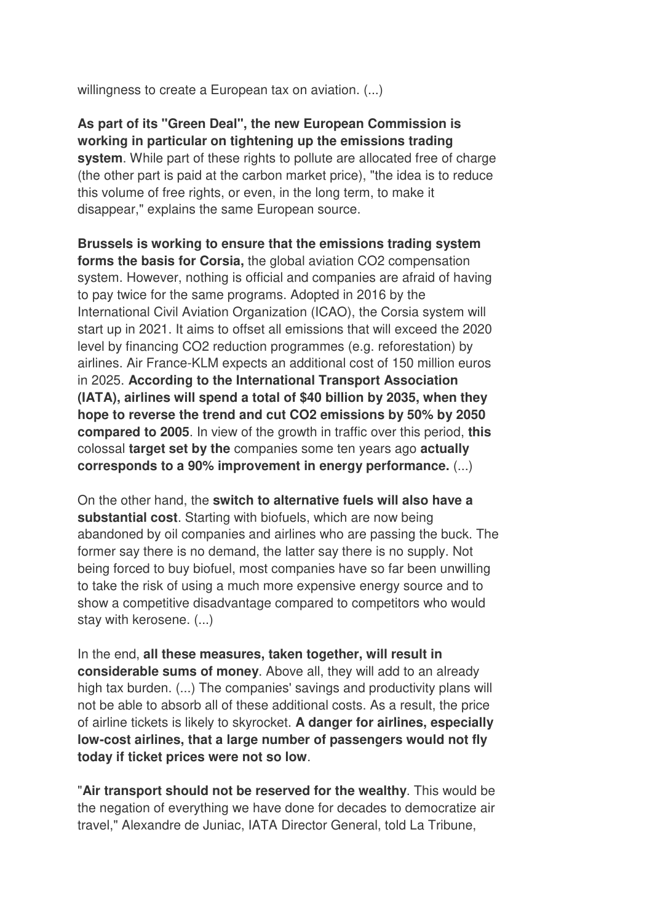willingness to create a European tax on aviation. (...)

**As part of its "Green Deal", the new European Commission is working in particular on tightening up the emissions trading system**. While part of these rights to pollute are allocated free of charge (the other part is paid at the carbon market price), "the idea is to reduce this volume of free rights, or even, in the long term, to make it disappear," explains the same European source.

**Brussels is working to ensure that the emissions trading system forms the basis for Corsia,** the global aviation CO2 compensation system. However, nothing is official and companies are afraid of having to pay twice for the same programs. Adopted in 2016 by the International Civil Aviation Organization (ICAO), the Corsia system will start up in 2021. It aims to offset all emissions that will exceed the 2020 level by financing CO2 reduction programmes (e.g. reforestation) by airlines. Air France-KLM expects an additional cost of 150 million euros in 2025. **According to the International Transport Association (IATA), airlines will spend a total of \$40 billion by 2035, when they hope to reverse the trend and cut CO2 emissions by 50% by 2050 compared to 2005**. In view of the growth in traffic over this period, **this** colossal **target set by the** companies some ten years ago **actually corresponds to a 90% improvement in energy performance.** (...)

On the other hand, the **switch to alternative fuels will also have a substantial cost**. Starting with biofuels, which are now being abandoned by oil companies and airlines who are passing the buck. The former say there is no demand, the latter say there is no supply. Not being forced to buy biofuel, most companies have so far been unwilling to take the risk of using a much more expensive energy source and to show a competitive disadvantage compared to competitors who would stay with kerosene. (...)

In the end, **all these measures, taken together, will result in considerable sums of money**. Above all, they will add to an already high tax burden. (...) The companies' savings and productivity plans will not be able to absorb all of these additional costs. As a result, the price of airline tickets is likely to skyrocket. **A danger for airlines, especially low-cost airlines, that a large number of passengers would not fly today if ticket prices were not so low**.

"**Air transport should not be reserved for the wealthy**. This would be the negation of everything we have done for decades to democratize air travel," Alexandre de Juniac, IATA Director General, told La Tribune,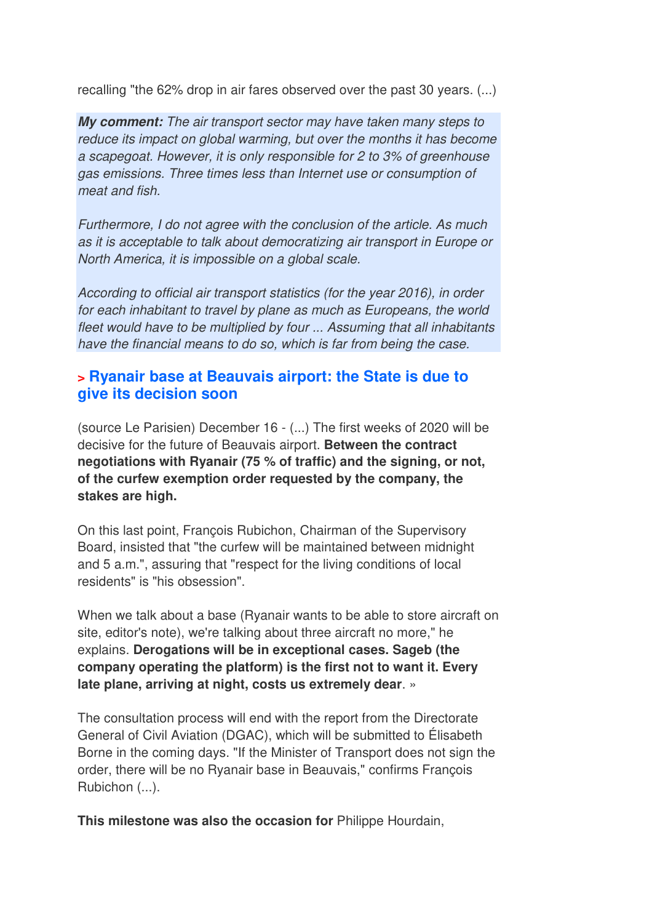recalling "the 62% drop in air fares observed over the past 30 years. (...)

*My comment: The air transport sector may have taken many steps to reduce its impact on global warming, but over the months it has become a scapegoat. However, it is only responsible for 2 to 3% of greenhouse gas emissions. Three times less than Internet use or consumption of meat and fish.* 

*Furthermore, I do not agree with the conclusion of the article. As much as it is acceptable to talk about democratizing air transport in Europe or North America, it is impossible on a global scale.* 

*According to official air transport statistics (for the year 2016), in order for each inhabitant to travel by plane as much as Europeans, the world fleet would have to be multiplied by four ... Assuming that all inhabitants have the financial means to do so, which is far from being the case.*

### **> Ryanair base at Beauvais airport: the State is due to give its decision soon**

(source Le Parisien) December 16 - (...) The first weeks of 2020 will be decisive for the future of Beauvais airport. **Between the contract negotiations with Ryanair (75 % of traffic) and the signing, or not, of the curfew exemption order requested by the company, the stakes are high.** 

On this last point, François Rubichon, Chairman of the Supervisory Board, insisted that "the curfew will be maintained between midnight and 5 a.m.", assuring that "respect for the living conditions of local residents" is "his obsession".

When we talk about a base (Ryanair wants to be able to store aircraft on site, editor's note), we're talking about three aircraft no more," he explains. **Derogations will be in exceptional cases. Sageb (the company operating the platform) is the first not to want it. Every late plane, arriving at night, costs us extremely dear**. »

The consultation process will end with the report from the Directorate General of Civil Aviation (DGAC), which will be submitted to Élisabeth Borne in the coming days. "If the Minister of Transport does not sign the order, there will be no Ryanair base in Beauvais," confirms François Rubichon (...).

**This milestone was also the occasion for** Philippe Hourdain,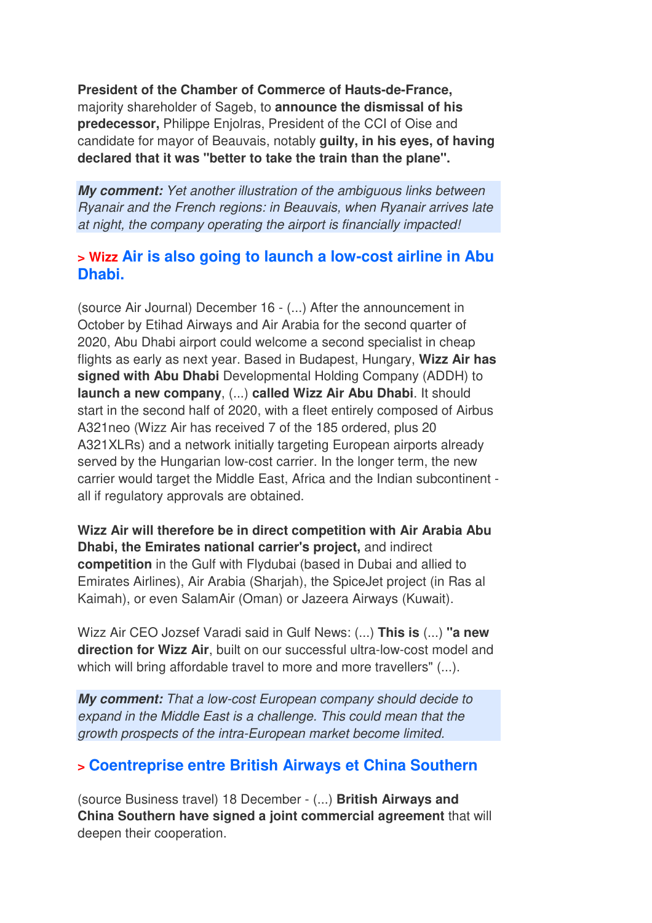**President of the Chamber of Commerce of Hauts-de-France,** majority shareholder of Sageb, to **announce the dismissal of his predecessor,** Philippe Enjolras, President of the CCI of Oise and candidate for mayor of Beauvais, notably **guilty, in his eyes, of having declared that it was "better to take the train than the plane".**

*My comment: Yet another illustration of the ambiguous links between Ryanair and the French regions: in Beauvais, when Ryanair arrives late at night, the company operating the airport is financially impacted!*

### **> Wizz Air is also going to launch a low-cost airline in Abu Dhabi.**

(source Air Journal) December 16 - (...) After the announcement in October by Etihad Airways and Air Arabia for the second quarter of 2020, Abu Dhabi airport could welcome a second specialist in cheap flights as early as next year. Based in Budapest, Hungary, **Wizz Air has signed with Abu Dhabi** Developmental Holding Company (ADDH) to **launch a new company**, (...) **called Wizz Air Abu Dhabi**. It should start in the second half of 2020, with a fleet entirely composed of Airbus A321neo (Wizz Air has received 7 of the 185 ordered, plus 20 A321XLRs) and a network initially targeting European airports already served by the Hungarian low-cost carrier. In the longer term, the new carrier would target the Middle East, Africa and the Indian subcontinent all if regulatory approvals are obtained.

**Wizz Air will therefore be in direct competition with Air Arabia Abu Dhabi, the Emirates national carrier's project,** and indirect **competition** in the Gulf with Flydubai (based in Dubai and allied to Emirates Airlines), Air Arabia (Sharjah), the SpiceJet project (in Ras al Kaimah), or even SalamAir (Oman) or Jazeera Airways (Kuwait).

Wizz Air CEO Jozsef Varadi said in Gulf News: (...) **This is** (...) **"a new direction for Wizz Air**, built on our successful ultra-low-cost model and which will bring affordable travel to more and more travellers" (...).

*My comment: That a low-cost European company should decide to expand in the Middle East is a challenge. This could mean that the growth prospects of the intra-European market become limited.*

### **> Coentreprise entre British Airways et China Southern**

(source Business travel) 18 December - (...) **British Airways and China Southern have signed a joint commercial agreement** that will deepen their cooperation.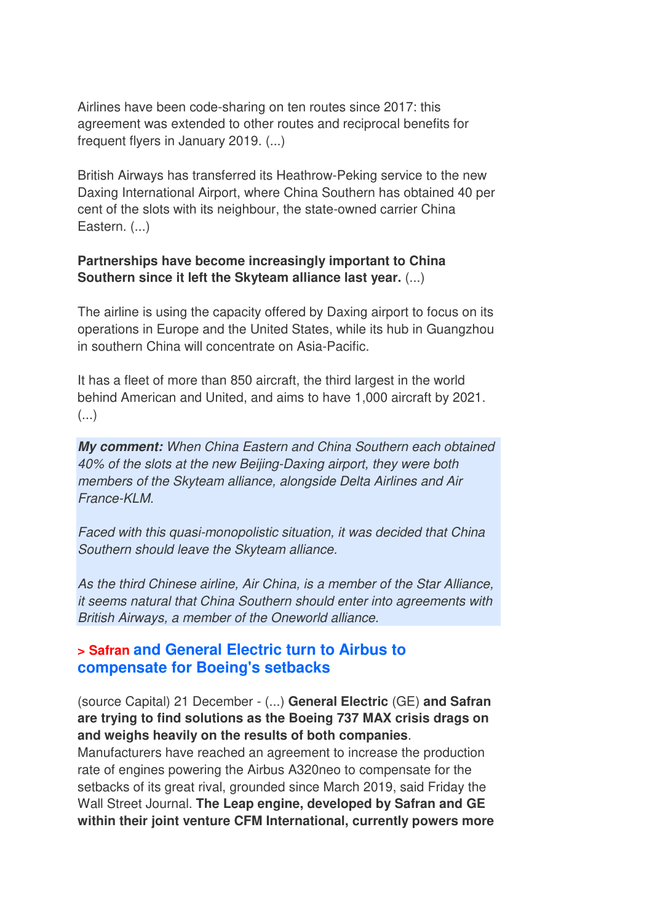Airlines have been code-sharing on ten routes since 2017: this agreement was extended to other routes and reciprocal benefits for frequent flyers in January 2019. (...)

British Airways has transferred its Heathrow-Peking service to the new Daxing International Airport, where China Southern has obtained 40 per cent of the slots with its neighbour, the state-owned carrier China Eastern. (...)

#### **Partnerships have become increasingly important to China Southern since it left the Skyteam alliance last year.** (...)

The airline is using the capacity offered by Daxing airport to focus on its operations in Europe and the United States, while its hub in Guangzhou in southern China will concentrate on Asia-Pacific.

It has a fleet of more than 850 aircraft, the third largest in the world behind American and United, and aims to have 1,000 aircraft by 2021. (...)

*My comment: When China Eastern and China Southern each obtained 40% of the slots at the new Beijing-Daxing airport, they were both members of the Skyteam alliance, alongside Delta Airlines and Air France-KLM.* 

*Faced with this quasi-monopolistic situation, it was decided that China Southern should leave the Skyteam alliance.* 

*As the third Chinese airline, Air China, is a member of the Star Alliance, it seems natural that China Southern should enter into agreements with British Airways, a member of the Oneworld alliance.*

#### **> Safran and General Electric turn to Airbus to compensate for Boeing's setbacks**

(source Capital) 21 December - (...) **General Electric** (GE) **and Safran are trying to find solutions as the Boeing 737 MAX crisis drags on and weighs heavily on the results of both companies**.

Manufacturers have reached an agreement to increase the production rate of engines powering the Airbus A320neo to compensate for the setbacks of its great rival, grounded since March 2019, said Friday the Wall Street Journal. **The Leap engine, developed by Safran and GE within their joint venture CFM International, currently powers more**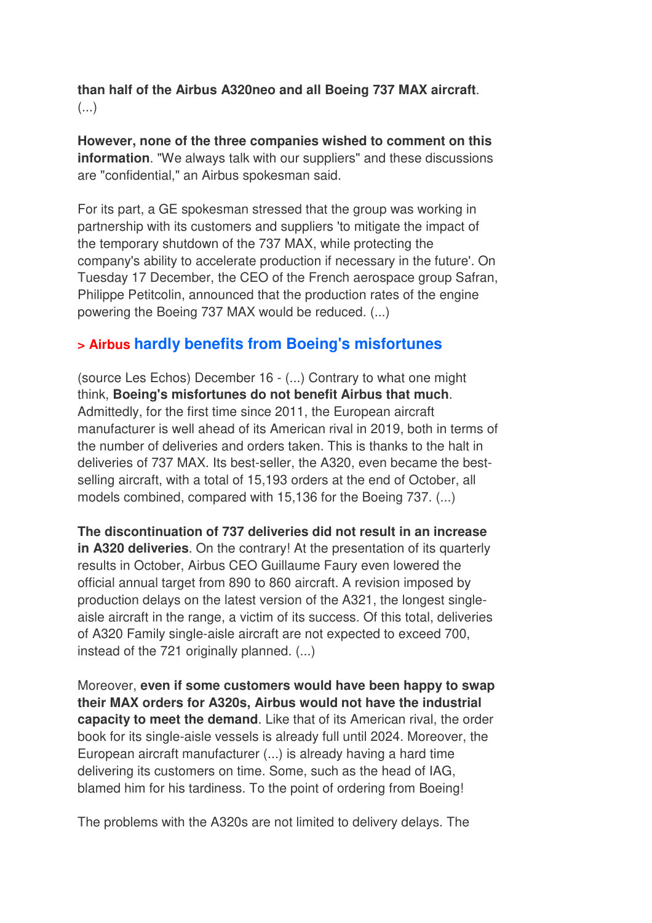**than half of the Airbus A320neo and all Boeing 737 MAX aircraft**. (...)

**However, none of the three companies wished to comment on this information**. "We always talk with our suppliers" and these discussions are "confidential," an Airbus spokesman said.

For its part, a GE spokesman stressed that the group was working in partnership with its customers and suppliers 'to mitigate the impact of the temporary shutdown of the 737 MAX, while protecting the company's ability to accelerate production if necessary in the future'. On Tuesday 17 December, the CEO of the French aerospace group Safran, Philippe Petitcolin, announced that the production rates of the engine powering the Boeing 737 MAX would be reduced. (...)

### **> Airbus hardly benefits from Boeing's misfortunes**

(source Les Echos) December 16 - (...) Contrary to what one might think, **Boeing's misfortunes do not benefit Airbus that much**. Admittedly, for the first time since 2011, the European aircraft manufacturer is well ahead of its American rival in 2019, both in terms of the number of deliveries and orders taken. This is thanks to the halt in deliveries of 737 MAX. Its best-seller, the A320, even became the bestselling aircraft, with a total of 15,193 orders at the end of October, all models combined, compared with 15,136 for the Boeing 737. (...)

**The discontinuation of 737 deliveries did not result in an increase in A320 deliveries**. On the contrary! At the presentation of its quarterly results in October, Airbus CEO Guillaume Faury even lowered the official annual target from 890 to 860 aircraft. A revision imposed by production delays on the latest version of the A321, the longest singleaisle aircraft in the range, a victim of its success. Of this total, deliveries of A320 Family single-aisle aircraft are not expected to exceed 700, instead of the 721 originally planned. (...)

Moreover, **even if some customers would have been happy to swap their MAX orders for A320s, Airbus would not have the industrial capacity to meet the demand**. Like that of its American rival, the order book for its single-aisle vessels is already full until 2024. Moreover, the European aircraft manufacturer (...) is already having a hard time delivering its customers on time. Some, such as the head of IAG, blamed him for his tardiness. To the point of ordering from Boeing!

The problems with the A320s are not limited to delivery delays. The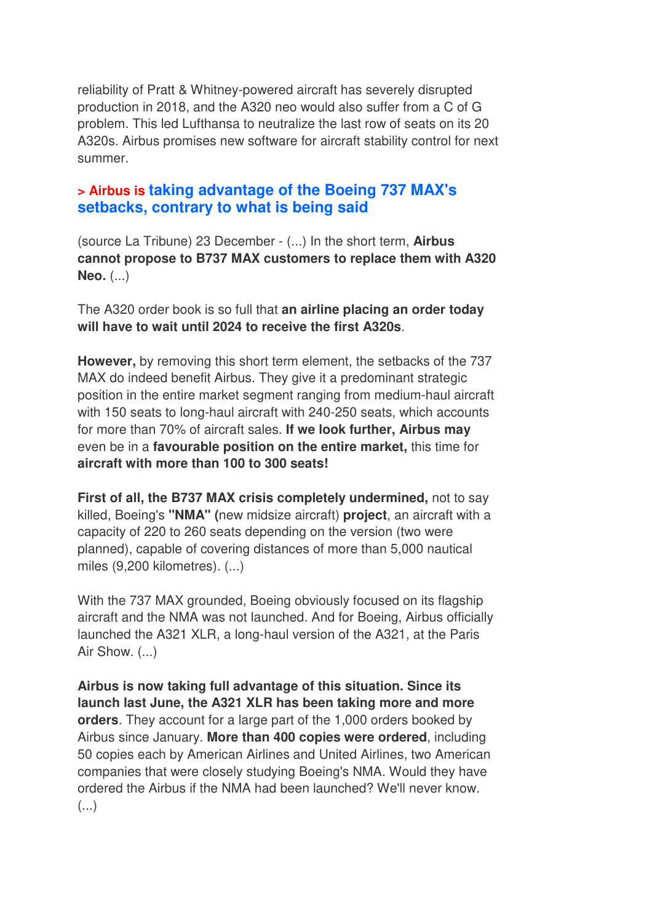reliability of Pratt & Whitney-powered aircraft has severely disrupted production in 2018, and the A320 neo would also suffer from a C of G problem. This led Lufthansa to neutralize the last row of seats on its 20 A320s. Airbus promises new software for aircraft stability control for next summer.

### **> Airbus is taking advantage of the Boeing 737 MAX's setbacks, contrary to what is being said**

(source La Tribune) 23 December - (...) In the short term, **Airbus cannot propose to B737 MAX customers to replace them with A320 Neo.** (...)

The A320 order book is so full that **an airline placing an order today will have to wait until 2024 to receive the first A320s**.

**However,** by removing this short term element, the setbacks of the 737 MAX do indeed benefit Airbus. They give it a predominant strategic position in the entire market segment ranging from medium-haul aircraft with 150 seats to long-haul aircraft with 240-250 seats, which accounts for more than 70% of aircraft sales. **If we look further, Airbus may**  even be in a **favourable position on the entire market,** this time for **aircraft with more than 100 to 300 seats!** 

**First of all, the B737 MAX crisis completely undermined,** not to say killed, Boeing's **"NMA" (**new midsize aircraft) **project**, an aircraft with a capacity of 220 to 260 seats depending on the version (two were planned), capable of covering distances of more than 5,000 nautical miles (9,200 kilometres). (...)

With the 737 MAX grounded, Boeing obviously focused on its flagship aircraft and the NMA was not launched. And for Boeing, Airbus officially launched the A321 XLR, a long-haul version of the A321, at the Paris Air Show. (...)

**Airbus is now taking full advantage of this situation. Since its launch last June, the A321 XLR has been taking more and more orders**. They account for a large part of the 1,000 orders booked by Airbus since January. **More than 400 copies were ordered**, including 50 copies each by American Airlines and United Airlines, two American companies that were closely studying Boeing's NMA. Would they have ordered the Airbus if the NMA had been launched? We'll never know. (...)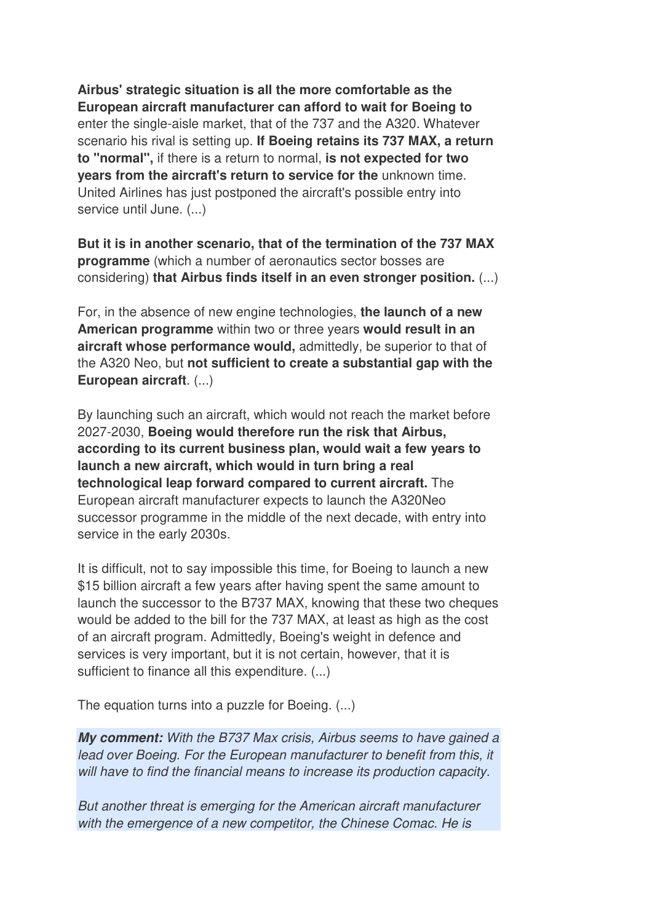**Airbus' strategic situation is all the more comfortable as the European aircraft manufacturer can afford to wait for Boeing to** enter the single-aisle market, that of the 737 and the A320. Whatever scenario his rival is setting up. **If Boeing retains its 737 MAX, a return to "normal",** if there is a return to normal, **is not expected for two years from the aircraft's return to service for the** unknown time. United Airlines has just postponed the aircraft's possible entry into service until June. (...)

**But it is in another scenario, that of the termination of the 737 MAX programme** (which a number of aeronautics sector bosses are considering) **that Airbus finds itself in an even stronger position.** (...)

For, in the absence of new engine technologies, **the launch of a new American programme** within two or three years **would result in an aircraft whose performance would,** admittedly, be superior to that of the A320 Neo, but **not sufficient to create a substantial gap with the European aircraft**. (...)

By launching such an aircraft, which would not reach the market before 2027-2030, **Boeing would therefore run the risk that Airbus, according to its current business plan, would wait a few years to launch a new aircraft, which would in turn bring a real technological leap forward compared to current aircraft.** The European aircraft manufacturer expects to launch the A320Neo successor programme in the middle of the next decade, with entry into service in the early 2030s.

It is difficult, not to say impossible this time, for Boeing to launch a new \$15 billion aircraft a few years after having spent the same amount to launch the successor to the B737 MAX, knowing that these two cheques would be added to the bill for the 737 MAX, at least as high as the cost of an aircraft program. Admittedly, Boeing's weight in defence and services is very important, but it is not certain, however, that it is sufficient to finance all this expenditure. (...)

The equation turns into a puzzle for Boeing. (...)

*My comment: With the B737 Max crisis, Airbus seems to have gained a*  lead over Boeing. For the European manufacturer to benefit from this, it *will have to find the financial means to increase its production capacity.* 

*But another threat is emerging for the American aircraft manufacturer with the emergence of a new competitor, the Chinese Comac. He is*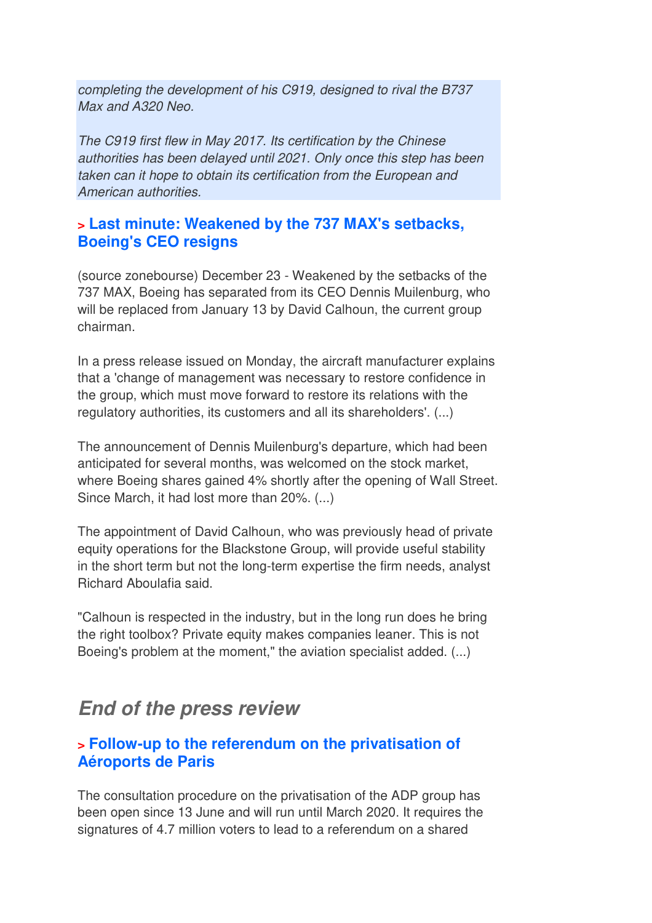*completing the development of his C919, designed to rival the B737 Max and A320 Neo.* 

*The C919 first flew in May 2017. Its certification by the Chinese authorities has been delayed until 2021. Only once this step has been taken can it hope to obtain its certification from the European and American authorities.*

### **> Last minute: Weakened by the 737 MAX's setbacks, Boeing's CEO resigns**

(source zonebourse) December 23 - Weakened by the setbacks of the 737 MAX, Boeing has separated from its CEO Dennis Muilenburg, who will be replaced from January 13 by David Calhoun, the current group chairman.

In a press release issued on Monday, the aircraft manufacturer explains that a 'change of management was necessary to restore confidence in the group, which must move forward to restore its relations with the regulatory authorities, its customers and all its shareholders'. (...)

The announcement of Dennis Muilenburg's departure, which had been anticipated for several months, was welcomed on the stock market, where Boeing shares gained 4% shortly after the opening of Wall Street. Since March, it had lost more than 20%. (...)

The appointment of David Calhoun, who was previously head of private equity operations for the Blackstone Group, will provide useful stability in the short term but not the long-term expertise the firm needs, analyst Richard Aboulafia said.

"Calhoun is respected in the industry, but in the long run does he bring the right toolbox? Private equity makes companies leaner. This is not Boeing's problem at the moment," the aviation specialist added. (...)

## *End of the press review*

### **> Follow-up to the referendum on the privatisation of Aéroports de Paris**

The consultation procedure on the privatisation of the ADP group has been open since 13 June and will run until March 2020. It requires the signatures of 4.7 million voters to lead to a referendum on a shared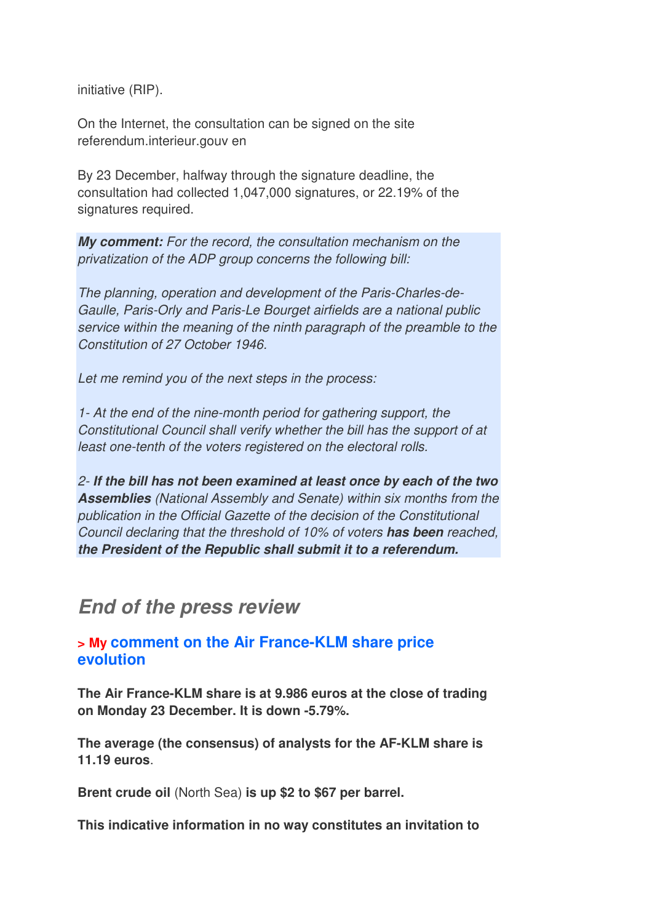initiative (RIP).

On the Internet, the consultation can be signed on the site referendum.interieur.gouv en

By 23 December, halfway through the signature deadline, the consultation had collected 1,047,000 signatures, or 22.19% of the signatures required.

*My comment: For the record, the consultation mechanism on the privatization of the ADP group concerns the following bill:* 

*The planning, operation and development of the Paris-Charles-de-Gaulle, Paris-Orly and Paris-Le Bourget airfields are a national public service within the meaning of the ninth paragraph of the preamble to the Constitution of 27 October 1946.* 

*Let me remind you of the next steps in the process:*

*1- At the end of the nine-month period for gathering support, the Constitutional Council shall verify whether the bill has the support of at least one-tenth of the voters registered on the electoral rolls.* 

*2- If the bill has not been examined at least once by each of the two Assemblies (National Assembly and Senate) within six months from the publication in the Official Gazette of the decision of the Constitutional Council declaring that the threshold of 10% of voters has been reached, the President of the Republic shall submit it to a referendum.* 

## *End of the press review*

### **> My comment on the Air France-KLM share price evolution**

**The Air France-KLM share is at 9.986 euros at the close of trading on Monday 23 December. It is down -5.79%.** 

**The average (the consensus) of analysts for the AF-KLM share is 11.19 euros**.

**Brent crude oil** (North Sea) **is up \$2 to \$67 per barrel.**

**This indicative information in no way constitutes an invitation to**